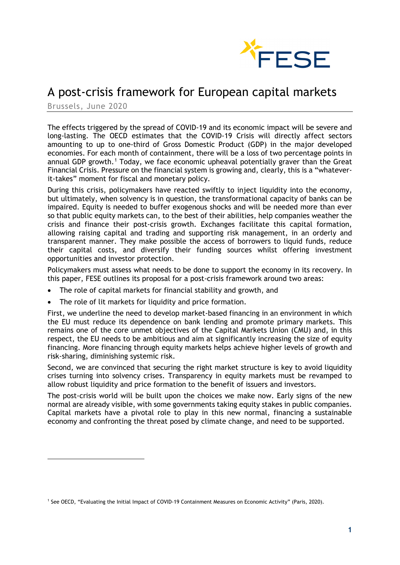

# A post-crisis framework for European capital markets

Brussels, June 2020

The effects triggered by the spread of COVID-19 and its economic impact will be severe and long-lasting. The OECD estimates that the COVID-19 Crisis will directly affect sectors amounting to up to one-third of Gross Domestic Product (GDP) in the major developed economies. For each month of containment, there will be a loss of two percentage points in annual GDP growth.[1](#page-0-0) Today, we face economic upheaval potentially graver than the Great Financial Crisis. Pressure on the financial system is growing and, clearly, this is a "whateverit-takes" moment for fiscal and monetary policy.

During this crisis, policymakers have reacted swiftly to inject liquidity into the economy, but ultimately, when solvency is in question, the transformational capacity of banks can be impaired. Equity is needed to buffer exogenous shocks and will be needed more than ever so that public equity markets can, to the best of their abilities, help companies weather the crisis and finance their post-crisis growth. Exchanges facilitate this capital formation, allowing raising capital and trading and supporting risk management, in an orderly and transparent manner. They make possible the access of borrowers to liquid funds, reduce their capital costs, and diversify their funding sources whilst offering investment opportunities and investor protection.

Policymakers must assess what needs to be done to support the economy in its recovery. In this paper, FESE outlines its proposal for a post-crisis framework around two areas:

- The role of capital markets for financial stability and growth, and
- The role of lit markets for liquidity and price formation.

First, we underline the need to develop market-based financing in an environment in which the EU must reduce its dependence on bank lending and promote primary markets. This remains one of the core unmet objectives of the Capital Markets Union (CMU) and, in this respect, the EU needs to be ambitious and aim at significantly increasing the size of equity financing. More financing through equity markets helps achieve higher levels of growth and risk-sharing, diminishing systemic risk.

Second, we are convinced that securing the right market structure is key to avoid liquidity crises turning into solvency crises. Transparency in equity markets must be revamped to allow robust liquidity and price formation to the benefit of issuers and investors.

The post-crisis world will be built upon the choices we make now. Early signs of the new normal are already visible, with some governments taking equity stakes in public companies. Capital markets have a pivotal role to play in this new normal, financing a sustainable economy and confronting the threat posed by climate change, and need to be supported.

<span id="page-0-0"></span><sup>1</sup> See OECD, "Evaluating the Initial Impact of COVID-19 Containment Measures on Economic Activity" (Paris, 2020).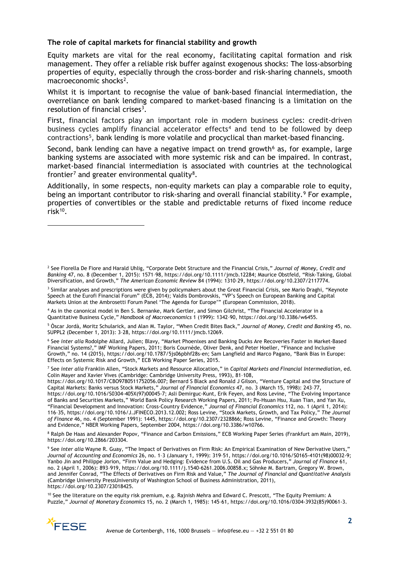### **The role of capital markets for financial stability and growth**

Equity markets are vital for the real economy, facilitating capital formation and risk management. They offer a reliable risk buffer against exogenous shocks: The loss-absorbing properties of equity, especially through the cross-border and risk-sharing channels, smooth macroeconomic shocks<sup>2</sup>.

Whilst it is important to recognise the value of bank-based financial intermediation, the overreliance on bank lending compared to market-based financing is a limitation on the resolution of financial crises<sup>3</sup>.

First, financial factors play an important role in modern business cycles: credit-driven business cycles amplify financial accelerator effects<sup>[4](#page-1-2)</sup> and tend to be followed by deep contractions[5](#page-1-3), bank lending is more volatile and procyclical than market-based financing.

Second, bank lending can have a negative impact on trend growth<sup> $6$ </sup> as, for example, large banking systems are associated with more systemic risk and can be impaired. In contrast, market-based financial intermediation is associated with countries at the technological frontier<sup>[7](#page-1-5)</sup> and greater environmental quality<sup>8</sup>.

Additionally, in some respects, non-equity markets can play a comparable role to equity, being an important contributor to risk-sharing and overall financial stability.<sup>[9](#page-1-7)</sup> For example, properties of convertibles or the stable and predictable returns of fixed income reduce risk[10](#page-1-8).

<span id="page-1-2"></span><sup>4</sup> As in the canonical model in Ben S. Bernanke, Mark Gertler, and Simon Gilchrist, "The Financial Accelerator in a Quantitative Business Cycle," *Handbook of Macroeconomics* 1 (1999): 1342–90, https://doi.org/10.3386/w6455.

<span id="page-1-3"></span><sup>5</sup> Òscar Jordà, Moritz Schularick, and Alan M. Taylor, "When Credit Bites Back," *Journal of Money, Credit and Banking* 45, no. SUPPL2 (December 1, 2013): 3–28, https://doi.org/10.1111/jmcb.12069.

<span id="page-1-4"></span><sup>6</sup> See *inter alia* Rodolphe Allard, Julien; Blavy, "Market Phoenixes and Banking Ducks Are Recoveries Faster in Market-Based Financial Systems?," IMF Working Papers, 2011; Boris Cournède, Oliver Denk, and Peter Hoeller, "Finance and Inclusive Growth," no. 14 (2015), https://doi.org/10.1787/5js06pbhf28s-en; Sam Langfield and Marco Pagano, "Bank Bias in Europe: Effects on Systemic Risk and Growth," ECB Working Paper Series, 2015.

<span id="page-1-5"></span><sup>7</sup> See *inter alia* Franklin Allen, "Stock Markets and Resource Allocation," in *Capital Markets and Financial Intermediation*, ed. Colin Mayer and Xavier Vives (Cambridge: Cambridge University Press, 1993), 81–108,

https://doi.org/10.1017/CBO9780511752056.007; Bernard S Black and Ronald J Gilson, "Venture Capital and the Structure of Capital Markets: Banks versus Stock Markets," *Journal of Financial Economics* 47, no. 3 (March 15, 1998): 243–77, https://doi.org/10.1016/S0304-405X(97)00045-7; Asli Demirguc-Kunt, Erik Feyen, and Ross Levine, "The Evolving Importance of Banks and Securities Markets," World Bank Policy Research Working Papers, 2011; Po-Hsuan Hsu, Xuan Tian, and Yan Xu, "Financial Development and Innovation: Cross-Country Evidence," *Journal of Financial Economics* 112, no. 1 (April 1, 2014): 116–35, https://doi.org/10.1016/J.JFINECO.2013.12.002; Ross Levine, "Stock Markets, Growth, and Tax Policy," *The Journal of Finance* 46, no. 4 (September 1991): 1445, https://doi.org/10.2307/2328866; Ross Levine, "Finance and Growth: Theory and Evidence," NBER Working Papers, September 2004, https://doi.org/10.3386/w10766.

<span id="page-1-6"></span><sup>8</sup> Ralph De Haas and Alexander Popov, "Finance and Carbon Emissions," ECB Working Paper Series (Frankfurt am Main, 2019), https://doi.org/10.2866/203304.

<span id="page-1-7"></span><sup>9</sup> See *inter alia* Wayne R. Guay, "The Impact of Derivatives on Firm Risk: An Empirical Examination of New Derivative Users," *Journal of Accounting and Economics* 26, no. 1–3 (January 1, 1999): 319–51, https://doi.org/10.1016/S0165-4101(98)00032-9; Yanbo Jin and Philippe Jorion, "Firm Value and Hedging: Evidence from U.S. Oil and Gas Producers," *Journal of Finance* 61, no. 2 (April 1, 2006): 893–919, https://doi.org/10.1111/j.1540-6261.2006.00858.x; Söhnke M. Bartram, Gregory W. Brown, and Jennifer Conrad, "The Effects of Derivatives on Firm Risk and Value," *The Journal of Financial and Quantitative Analysis* (Cambridge University PressUniversity of Washington School of Business Administration, 2011), https://doi.org/10.2307/23018425.

<span id="page-1-8"></span><sup>10</sup> See the literature on the equity risk premium, e.g. Rajnish Mehra and Edward C. Prescott, "The Equity Premium: A Puzzle," *Journal of Monetary Economics* 15, no. 2 (March 1, 1985): 145–61, https://doi.org/10.1016/0304-3932(85)90061-3.



<span id="page-1-0"></span><sup>2</sup> See Fiorella De Fiore and Harald Uhlig, "Corporate Debt Structure and the Financial Crisis," *Journal of Money, Credit and Banking* 47, no. 8 (December 1, 2015): 1571–98, https://doi.org/10.1111/jmcb.12284; Maurice Obstfeld, "Risk-Taking, Global Diversification, and Growth," *The American Economic Review* 84 (1994): 1310–29, https://doi.org/10.2307/2117774.

<span id="page-1-1"></span><sup>&</sup>lt;sup>3</sup> Similar analyses and prescriptions were given by policymakers about the Great Financial Crisis, see Mario Draghi, "Keynote Speech at the Eurofi Financial Forum" (ECB, 2014); Valdis Dombrovskis, "VP's Speech on European Banking and Capital Markets Union at the Ambrosetti Forum Panel 'The Agenda for Europe'" (European Commission, 2018).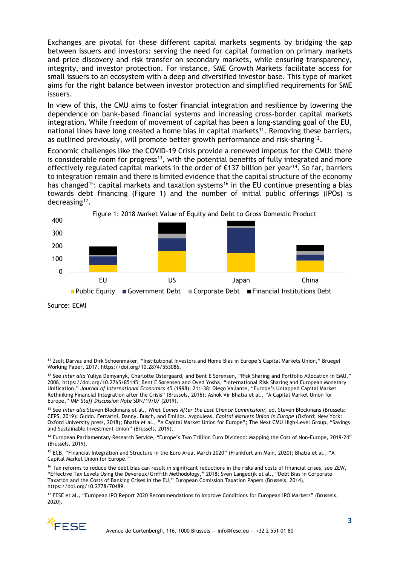Exchanges are pivotal for these different capital markets segments by bridging the gap between issuers and investors: serving the need for capital formation on primary markets and price discovery and risk transfer on secondary markets, while ensuring transparency, integrity, and investor protection. For instance, SME Growth Markets facilitate access for small issuers to an ecosystem with a deep and diversified investor base. This type of market aims for the right balance between investor protection and simplified requirements for SME issuers.

In view of this, the CMU aims to foster financial integration and resilience by lowering the dependence on bank-based financial systems and increasing cross-border capital markets integration. While freedom of movement of capital has been a long-standing goal of the EU, national lines have long created a home bias in capital markets<sup>[11](#page-2-0)</sup>. Removing these barriers, as outlined previously, will promote better growth performance and risk-sharing<sup>12</sup>.

Economic challenges like the COVID-19 Crisis provide a renewed impetus for the CMU: there is considerable room for progress<sup>13</sup>, with the potential benefits of fully integrated and more effectively regulated capital markets in the order of  $E137$  billion per year<sup>14</sup>. So far, barriers to integration remain and there is limited evidence that the capital structure of the economy has changed<sup>[15](#page-2-4)</sup>: capital markets and taxation systems<sup>[16](#page-2-5)</sup> in the EU continue presenting a bias towards debt financing (Figure 1) and the number of initial public offerings (IPOs) is decreasing<sup>[17](#page-2-6)</sup>.



Source: ECMI

<span id="page-2-0"></span><sup>11</sup> Zsolt Darvas and Dirk Schoenmaker, "Institutional Investors and Home Bias in Europe's Capital Markets Union," Bruegel Working Paper, 2017, https://doi.org/10.2874/553086.

<span id="page-2-1"></span><sup>12</sup> See *inter alia* Yuliya Demyanyk, Charlotte Ostergaard, and Bent E Sørensen, "Risk Sharing and Portfolio Allocation in EMU," 2008, https://doi.org/10.2765/85145; Bent E Sørensen and Oved Yosha, "International Risk Sharing and European Monetary Unification," *Journal of International Economics* 45 (1998): 211–38; Diego Valiante, "Europe's Untapped Capital Market Rethinking Financial Integration after the Crisis" (Brussels, 2016); Ashok Vir Bhatia et al., "A Capital Market Union for Europe," *IMF Staff Discussion Note* SDN/19/07 (2019).

<span id="page-2-2"></span><sup>13</sup> See *inter alia* Steven Blockmans et al., *What Comes After the Last Chance Commission?*, ed. Steven Blockmans (Brussels: CEPS, 2019); Guido. Ferrarini, Danny. Busch, and Emilios. Avgouleas, *Capital Markets Union in Europe* (Oxford; New York: Oxford University press, 2018); Bhatia et al., "A Capital Market Union for Europe"; The Next CMU High-Level Group, "Savings and Sustainable Investment Union" (Brussels, 2019).

<span id="page-2-3"></span><sup>14</sup> European Parliamentary Research Service, "Europe's Two Trillion Euro Dividend: Mapping the Cost of Non-Europe, 2019-24" (Brussels, 2019).

<span id="page-2-4"></span><sup>15</sup> ECB, "Financial Integration and Structure in the Euro Area, March 2020" (Frankfurt am Main, 2020); Bhatia et al., "A Capital Market Union for Europe."

<span id="page-2-5"></span><sup>16</sup> Tax reforms to reduce the debt bias can result in significant reductions in the risks and costs of financial crises, see ZEW, "Effective Tax Levels Using the Devereux/Griffith Methodology," 2018; Sven Langedijk et al., "Debt Bias in Corporate Taxation and the Costs of Banking Crises in the EU," European Comission Taxation Papers (Brussels, 2014), https://doi.org/10.2778/70489.

<span id="page-2-6"></span><sup>17</sup> FESE et al., "European IPO Report 2020 Recommendations to Improve Conditions for European IPO Markets" (Brussels, 2020).

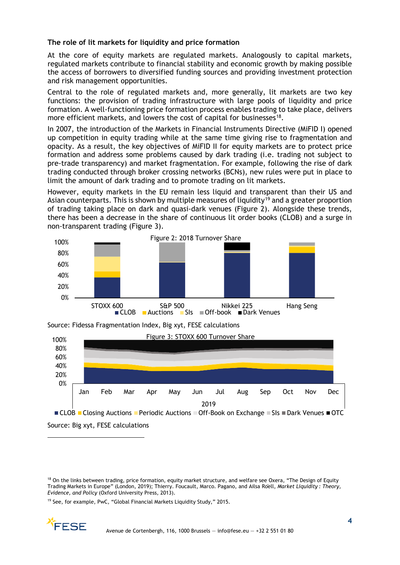## **The role of lit markets for liquidity and price formation**

At the core of equity markets are regulated markets. Analogously to capital markets, regulated markets contribute to financial stability and economic growth by making possible the access of borrowers to diversified funding sources and providing investment protection and risk management opportunities.

Central to the role of regulated markets and, more generally, lit markets are two key functions: the provision of trading infrastructure with large pools of liquidity and price formation. A well-functioning price formation process enables trading to take place, delivers more efficient markets, and lowers the cost of capital for businesses<sup>18</sup>.

In 2007, the introduction of the Markets in Financial Instruments Directive (MiFID I) opened up competition in equity trading while at the same time giving rise to fragmentation and opacity. As a result, the key objectives of MiFID II for equity markets are to protect price formation and address some problems caused by dark trading (i.e. trading not subject to pre-trade transparency) and market fragmentation. For example, following the rise of dark trading conducted through broker crossing networks (BCNs), new rules were put in place to limit the amount of dark trading and to promote trading on lit markets.

However, equity markets in the EU remain less liquid and transparent than their US and Asian counterparts. This is shown by multiple measures of liquidity<sup>[19](#page-3-1)</sup> and a greater proportion of trading taking place on dark and quasi-dark venues (Figure 2). Alongside these trends, there has been a decrease in the share of continuous lit order books (CLOB) and a surge in non-transparent trading (Figure 3).







Source: Big xyt, FESE calculations

<span id="page-3-1"></span><sup>19</sup> See, for example, PwC, "Global Financial Markets Liquidity Study," 2015.



<span id="page-3-0"></span><sup>&</sup>lt;sup>18</sup> On the links between trading, price formation, equity market structure, and welfare see Oxera, "The Design of Equity Trading Markets in Europe" (London, 2019); Thierry. Foucault, Marco. Pagano, and Ailsa Röell, *Market Liquidity : Theory, Evidence, and Policy* (Oxford University Press, 2013).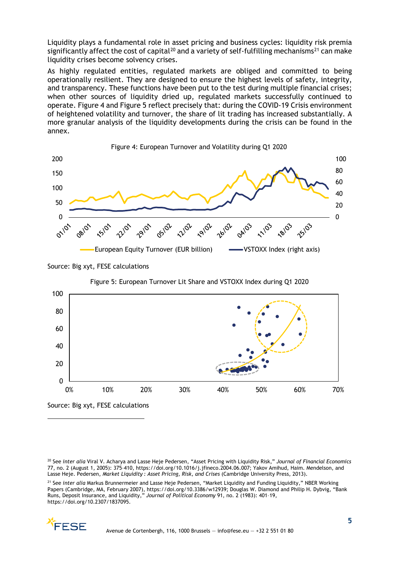Liquidity plays a fundamental role in asset pricing and business cycles: liquidity risk premia significantly affect the cost of capital<sup>[20](#page-4-0)</sup> and a variety of self-fulfilling mechanisms<sup>[21](#page-4-1)</sup> can make liquidity crises become solvency crises.

As highly regulated entities, regulated markets are obliged and committed to being operationally resilient. They are designed to ensure the highest levels of safety, integrity, and transparency. These functions have been put to the test during multiple financial crises; when other sources of liquidity dried up, regulated markets successfully continued to operate. Figure 4 and Figure 5 reflect precisely that: during the COVID-19 Crisis environment of heightened volatility and turnover, the share of lit trading has increased substantially. A more granular analysis of the liquidity developments during the crisis can be found in the annex.



Source: Big xyt, FESE calculations

Figure 5: European Turnover Lit Share and VSTOXX Index during Q1 2020



Source: Big xyt, FESE calculations

<span id="page-4-1"></span><sup>&</sup>lt;sup>21</sup> See *inter alia* Markus Brunnermeier and Lasse Heje Pedersen, "Market Liquidity and Funding Liquidity," NBER Working Papers (Cambridge, MA, February 2007), https://doi.org/10.3386/w12939; Douglas W. Diamond and Philip H. Dybvig, "Bank Runs, Deposit Insurance, and Liquidity," *Journal of Political Economy* 91, no. 2 (1983): 401–19, https://doi.org/10.2307/1837095.



<span id="page-4-0"></span><sup>20</sup> See *inter alia* Viral V. Acharya and Lasse Heje Pedersen, "Asset Pricing with Liquidity Risk," *Journal of Financial Economics* 77, no. 2 (August 1, 2005): 375–410, https://doi.org/10.1016/j.jfineco.2004.06.007; Yakov Amihud, Haim. Mendelson, and Lasse Heje. Pedersen, *Market Liquidity : Asset Pricing, Risk, and Crises* (Cambridge University Press, 2013).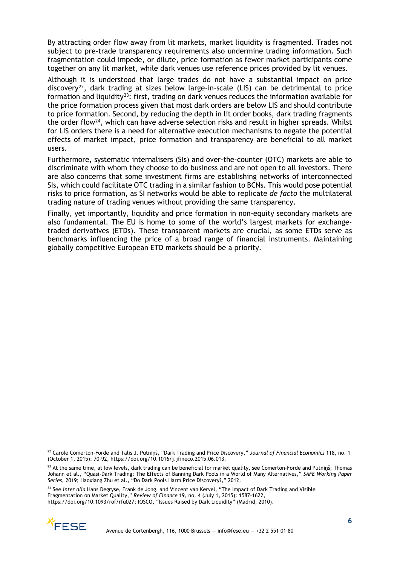By attracting order flow away from lit markets, market liquidity is fragmented. Trades not subject to pre-trade transparency requirements also undermine trading information. Such fragmentation could impede, or dilute, price formation as fewer market participants come together on any lit market, while dark venues use reference prices provided by lit venues.

Although it is understood that large trades do not have a substantial impact on price discovery<sup>22</sup>, dark trading at sizes below large-in-scale (LIS) can be detrimental to price formation and liquidity<sup>23</sup>: first, trading on dark venues reduces the information available for the price formation process given that most dark orders are below LIS and should contribute to price formation. Second, by reducing the depth in lit order books, dark trading fragments the order flow[24](#page-5-2), which can have adverse selection risks and result in higher spreads. Whilst for LIS orders there is a need for alternative execution mechanisms to negate the potential effects of market impact, price formation and transparency are beneficial to all market users.

Furthermore, systematic internalisers (SIs) and over-the-counter (OTC) markets are able to discriminate with whom they choose to do business and are not open to all investors. There are also concerns that some investment firms are establishing networks of interconnected SIs, which could facilitate OTC trading in a similar fashion to BCNs. This would pose potential risks to price formation, as SI networks would be able to replicate *de facto* the multilateral trading nature of trading venues without providing the same transparency.

Finally, yet importantly, liquidity and price formation in non-equity secondary markets are also fundamental. The EU is home to some of the world's largest markets for exchangetraded derivatives (ETDs). These transparent markets are crucial, as some ETDs serve as benchmarks influencing the price of a broad range of financial instruments. Maintaining globally competitive European ETD markets should be a priority.

<span id="page-5-2"></span><sup>24</sup> See *inter alia* Hans Degryse, Frank de Jong, and Vincent van Kervel, "The Impact of Dark Trading and Visible Fragmentation on Market Quality," *Review of Finance* 19, no. 4 (July 1, 2015): 1587–1622, https://doi.org/10.1093/rof/rfu027; IOSCO, "Issues Raised by Dark Liquidity" (Madrid, 2010).



<span id="page-5-0"></span><sup>22</sup> Carole Comerton-Forde and Talis J. Putniņš, "Dark Trading and Price Discovery," *Journal of Financial Economics* 118, no. 1 (October 1, 2015): 70–92, https://doi.org/10.1016/j.jfineco.2015.06.013.

<span id="page-5-1"></span><sup>&</sup>lt;sup>23</sup> At the same time, at low levels, dark trading can be beneficial for market quality, see Comerton-Forde and Putniņš; Thomas Johann et al., "Quasi-Dark Trading: The Effects of Banning Dark Pools in a World of Many Alternatives," *SAFE Working Paper Series*, 2019; Haoxiang Zhu et al., "Do Dark Pools Harm Price Discovery?," 2012.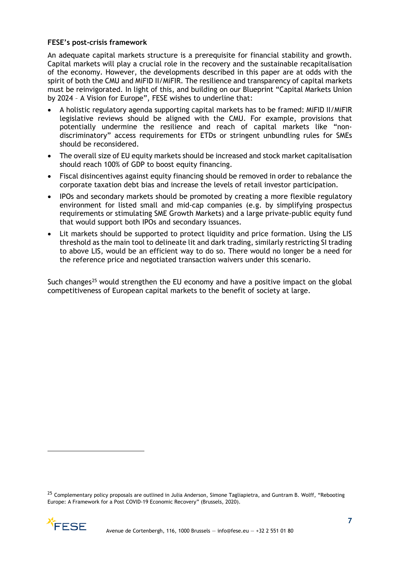### **FESE's post-crisis framework**

An adequate capital markets structure is a prerequisite for financial stability and growth. Capital markets will play a crucial role in the recovery and the sustainable recapitalisation of the economy. However, the developments described in this paper are at odds with the spirit of both the CMU and MiFID II/MiFIR. The resilience and transparency of capital markets must be reinvigorated. In light of this, and building on our Blueprint "Capital Markets Union by 2024 – A Vision for Europe", FESE wishes to underline that:

- A holistic regulatory agenda supporting capital markets has to be framed: MiFID II/MiFIR legislative reviews should be aligned with the CMU. For example, provisions that potentially undermine the resilience and reach of capital markets like "nondiscriminatory" access requirements for ETDs or stringent unbundling rules for SMEs should be reconsidered.
- The overall size of EU equity markets should be increased and stock market capitalisation should reach 100% of GDP to boost equity financing.
- Fiscal disincentives against equity financing should be removed in order to rebalance the corporate taxation debt bias and increase the levels of retail investor participation.
- IPOs and secondary markets should be promoted by creating a more flexible regulatory environment for listed small and mid-cap companies (e.g. by simplifying prospectus requirements or stimulating SME Growth Markets) and a large private-public equity fund that would support both IPOs and secondary issuances.
- Lit markets should be supported to protect liquidity and price formation. Using the LIS threshold as the main tool to delineate lit and dark trading, similarly restricting SI trading to above LIS, would be an efficient way to do so. There would no longer be a need for the reference price and negotiated transaction waivers under this scenario.

Such changes<sup>[25](#page-6-0)</sup> would strengthen the EU economy and have a positive impact on the global competitiveness of European capital markets to the benefit of society at large.

<span id="page-6-0"></span><sup>&</sup>lt;sup>25</sup> Complementary policy proposals are outlined in Julia Anderson, Simone Tagliapietra, and Guntram B. Wolff, "Rebooting Europe: A Framework for a Post COVID-19 Economic Recovery" (Brussels, 2020).

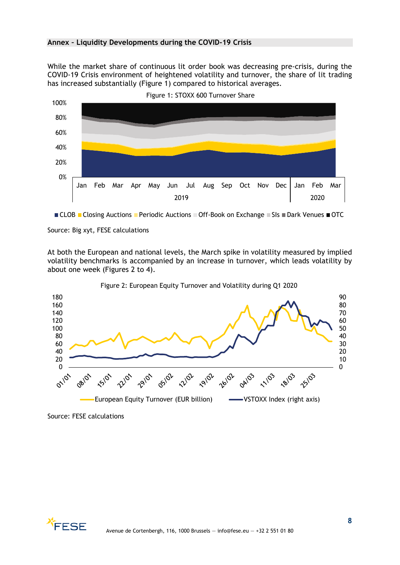### **Annex – Liquidity Developments during the COVID-19 Crisis**

While the market share of continuous lit order book was decreasing pre-crisis, during the COVID-19 Crisis environment of heightened volatility and turnover, the share of lit trading has increased substantially (Figure 1) compared to historical averages.



 $\blacksquare$  CLOB  $\blacksquare$  Closing Auctions  $\blacksquare$  Periodic Auctions  $\blacksquare$  Off-Book on Exchange  $\blacksquare$  SIs  $\blacksquare$  Dark Venues  $\blacksquare$  OTC

#### Source: Big xyt, FESE calculations

At both the European and national levels, the March spike in volatility measured by implied volatility benchmarks is accompanied by an increase in turnover, which leads volatility by about one week (Figures 2 to 4).



Figure 2: European Equity Turnover and Volatility during Q1 2020

Source: FESE calculations

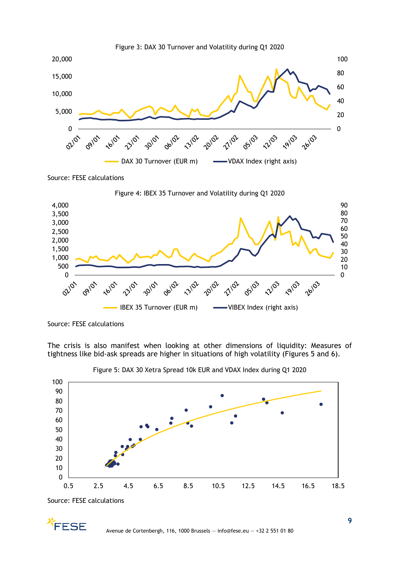

Source: FESE calculations



Source: FESE calculations

The crisis is also manifest when looking at other dimensions of liquidity: Measures of tightness like bid-ask spreads are higher in situations of high volatility (Figures 5 and 6).



Figure 5: DAX 30 Xetra Spread 10k EUR and VDAX Index during Q1 2020

Source: FESE calculations